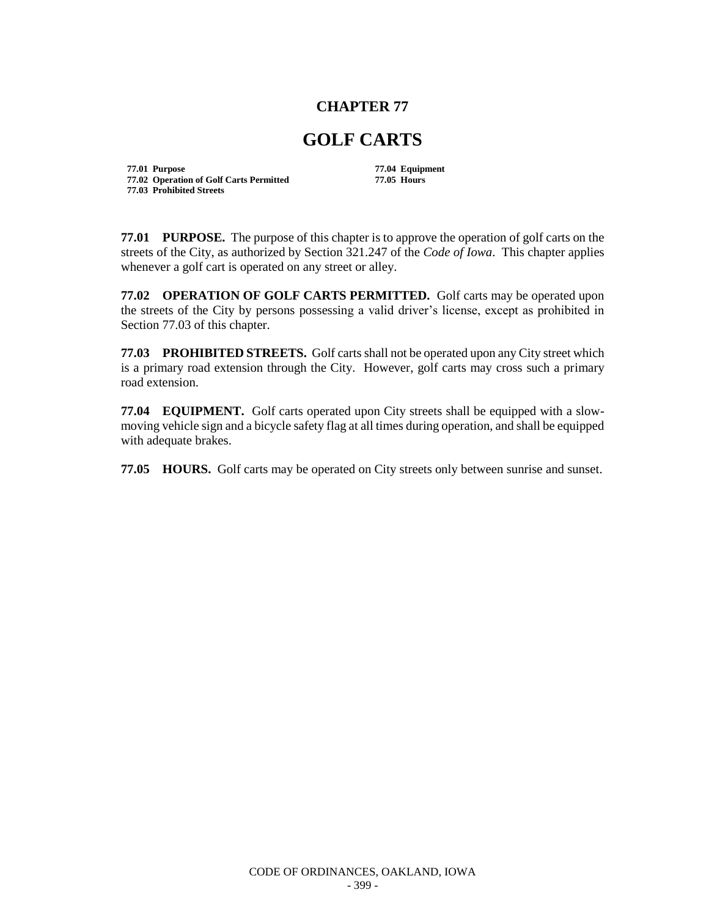## **CHAPTER 77**

## **GOLF CARTS**

**77.01 Purpose 77.04 Equipment 77.02 Operation of Golf Carts Permitted 77.05 Hours 77.03 Prohibited Streets**

**77.01 PURPOSE.** The purpose of this chapter is to approve the operation of golf carts on the streets of the City, as authorized by Section 321.247 of the *Code of Iowa*. This chapter applies whenever a golf cart is operated on any street or alley.

**77.02 OPERATION OF GOLF CARTS PERMITTED.** Golf carts may be operated upon the streets of the City by persons possessing a valid driver's license, except as prohibited in Section 77.03 of this chapter.

**77.03 PROHIBITED STREETS.** Golf carts shall not be operated upon any City street which is a primary road extension through the City. However, golf carts may cross such a primary road extension.

**77.04 EQUIPMENT.** Golf carts operated upon City streets shall be equipped with a slowmoving vehicle sign and a bicycle safety flag at all times during operation, and shall be equipped with adequate brakes.

**77.05 HOURS.** Golf carts may be operated on City streets only between sunrise and sunset.